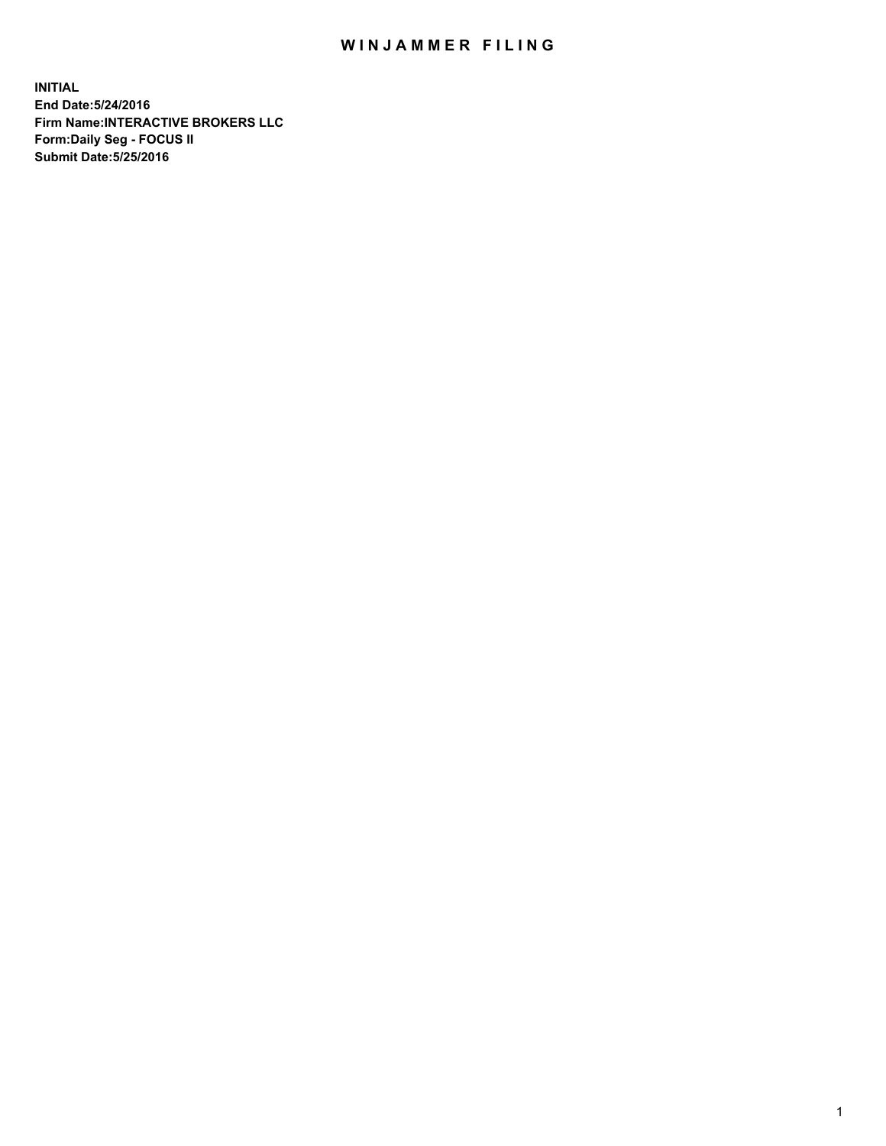## WIN JAMMER FILING

**INITIAL End Date:5/24/2016 Firm Name:INTERACTIVE BROKERS LLC Form:Daily Seg - FOCUS II Submit Date:5/25/2016**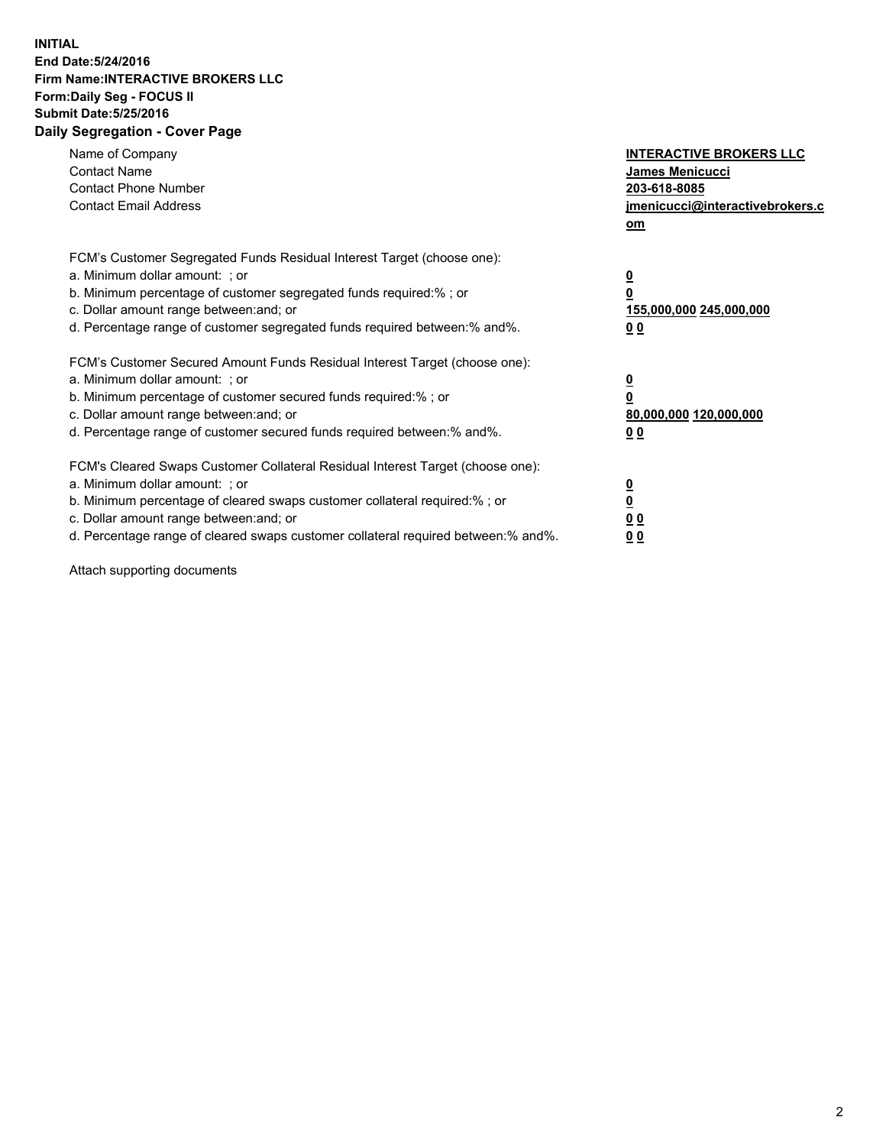## **INITIAL End Date:5/24/2016 Firm Name:INTERACTIVE BROKERS LLC Form:Daily Seg - FOCUS II Submit Date:5/25/2016 Daily Segregation - Cover Page**

| Name of Company<br><b>Contact Name</b><br><b>Contact Phone Number</b><br><b>Contact Email Address</b>                                                                                                                                                                                                                          | <b>INTERACTIVE BROKERS LLC</b><br><b>James Menicucci</b><br>203-618-8085<br>jmenicucci@interactivebrokers.c<br>om |
|--------------------------------------------------------------------------------------------------------------------------------------------------------------------------------------------------------------------------------------------------------------------------------------------------------------------------------|-------------------------------------------------------------------------------------------------------------------|
| FCM's Customer Segregated Funds Residual Interest Target (choose one):<br>a. Minimum dollar amount: ; or<br>b. Minimum percentage of customer segregated funds required:%; or<br>c. Dollar amount range between: and; or<br>d. Percentage range of customer segregated funds required between:% and%.                          | $\overline{\mathbf{0}}$<br>0<br>155,000,000 245,000,000<br>0 <sub>0</sub>                                         |
| FCM's Customer Secured Amount Funds Residual Interest Target (choose one):<br>a. Minimum dollar amount: ; or<br>b. Minimum percentage of customer secured funds required:%; or<br>c. Dollar amount range between: and; or<br>d. Percentage range of customer secured funds required between: % and %.                          | $\overline{\mathbf{0}}$<br>0<br>80,000,000 120,000,000<br>00                                                      |
| FCM's Cleared Swaps Customer Collateral Residual Interest Target (choose one):<br>a. Minimum dollar amount: ; or<br>b. Minimum percentage of cleared swaps customer collateral required:% ; or<br>c. Dollar amount range between: and; or<br>d. Percentage range of cleared swaps customer collateral required between:% and%. | $\overline{\mathbf{0}}$<br>$\overline{\mathbf{0}}$<br>0 <sub>0</sub><br><u>00</u>                                 |

Attach supporting documents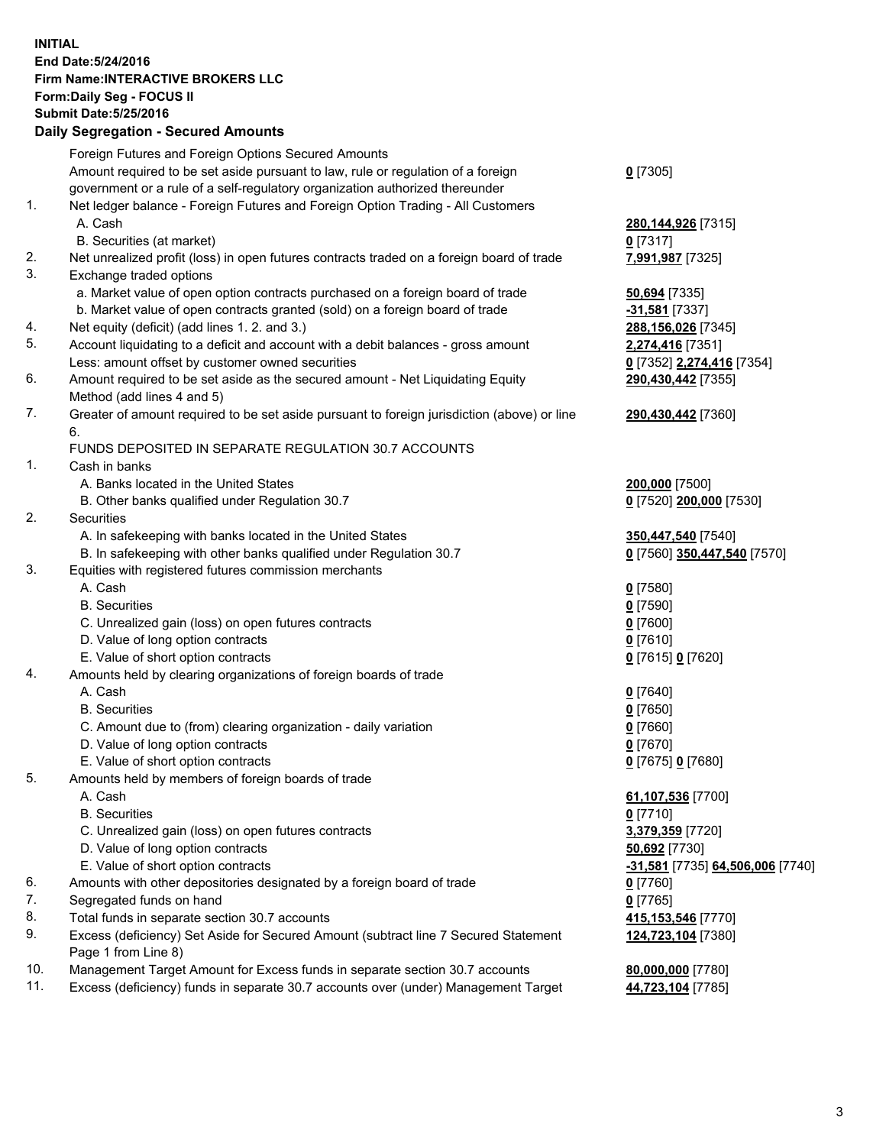## **INITIAL End Date:5/24/2016 Firm Name:INTERACTIVE BROKERS LLC Form:Daily Seg - FOCUS II Submit Date:5/25/2016 Daily Segregation - Secured Amounts**

|     | Foreign Futures and Foreign Options Secured Amounts                                         |                                  |
|-----|---------------------------------------------------------------------------------------------|----------------------------------|
|     | Amount required to be set aside pursuant to law, rule or regulation of a foreign            | $0$ [7305]                       |
|     | government or a rule of a self-regulatory organization authorized thereunder                |                                  |
| 1.  | Net ledger balance - Foreign Futures and Foreign Option Trading - All Customers             |                                  |
|     | A. Cash                                                                                     | 280, 144, 926 [7315]             |
|     | B. Securities (at market)                                                                   | $0$ [7317]                       |
| 2.  | Net unrealized profit (loss) in open futures contracts traded on a foreign board of trade   | 7,991,987 [7325]                 |
| 3.  | Exchange traded options                                                                     |                                  |
|     | a. Market value of open option contracts purchased on a foreign board of trade              | 50,694 [7335]                    |
|     | b. Market value of open contracts granted (sold) on a foreign board of trade                | -31,581 [7337]                   |
| 4.  | Net equity (deficit) (add lines 1.2. and 3.)                                                | 288,156,026 [7345]               |
| 5.  | Account liquidating to a deficit and account with a debit balances - gross amount           | 2,274,416 [7351]                 |
|     | Less: amount offset by customer owned securities                                            | 0 [7352] 2,274,416 [7354]        |
| 6.  | Amount required to be set aside as the secured amount - Net Liquidating Equity              | 290,430,442 [7355]               |
|     | Method (add lines 4 and 5)                                                                  |                                  |
| 7.  | Greater of amount required to be set aside pursuant to foreign jurisdiction (above) or line |                                  |
|     |                                                                                             | 290,430,442 [7360]               |
|     | 6.                                                                                          |                                  |
|     | FUNDS DEPOSITED IN SEPARATE REGULATION 30.7 ACCOUNTS                                        |                                  |
| 1.  | Cash in banks                                                                               |                                  |
|     | A. Banks located in the United States                                                       | 200,000 [7500]                   |
|     | B. Other banks qualified under Regulation 30.7                                              | 0 [7520] 200,000 [7530]          |
| 2.  | Securities                                                                                  |                                  |
|     | A. In safekeeping with banks located in the United States                                   | 350,447,540 [7540]               |
|     | B. In safekeeping with other banks qualified under Regulation 30.7                          | 0 [7560] 350,447,540 [7570]      |
| 3.  | Equities with registered futures commission merchants                                       |                                  |
|     | A. Cash                                                                                     | $0$ [7580]                       |
|     | <b>B.</b> Securities                                                                        | $0$ [7590]                       |
|     | C. Unrealized gain (loss) on open futures contracts                                         | $0$ [7600]                       |
|     | D. Value of long option contracts                                                           | $0$ [7610]                       |
|     | E. Value of short option contracts                                                          | 0 [7615] 0 [7620]                |
| 4.  | Amounts held by clearing organizations of foreign boards of trade                           |                                  |
|     | A. Cash                                                                                     | $0$ [7640]                       |
|     | <b>B.</b> Securities                                                                        | $0$ [7650]                       |
|     | C. Amount due to (from) clearing organization - daily variation                             | $0$ [7660]                       |
|     | D. Value of long option contracts                                                           | $0$ [7670]                       |
|     | E. Value of short option contracts                                                          | 0 [7675] 0 [7680]                |
| 5.  | Amounts held by members of foreign boards of trade                                          |                                  |
|     | A. Cash                                                                                     | 61,107,536 [7700]                |
|     | <b>B.</b> Securities                                                                        | $0$ [7710]                       |
|     | C. Unrealized gain (loss) on open futures contracts                                         | 3,379,359 [7720]                 |
|     | D. Value of long option contracts                                                           | 50,692 [7730]                    |
|     | E. Value of short option contracts                                                          | -31,581 [7735] 64,506,006 [7740] |
| 6.  | Amounts with other depositories designated by a foreign board of trade                      | $0$ [7760]                       |
| 7.  | Segregated funds on hand                                                                    | $0$ [7765]                       |
| 8.  | Total funds in separate section 30.7 accounts                                               | 415,153,546 [7770]               |
| 9.  | Excess (deficiency) Set Aside for Secured Amount (subtract line 7 Secured Statement         | 124,723,104 [7380]               |
|     | Page 1 from Line 8)                                                                         |                                  |
| 10. | Management Target Amount for Excess funds in separate section 30.7 accounts                 | 80,000,000 [7780]                |
| 11. | Excess (deficiency) funds in separate 30.7 accounts over (under) Management Target          | 44,723,104 [7785]                |
|     |                                                                                             |                                  |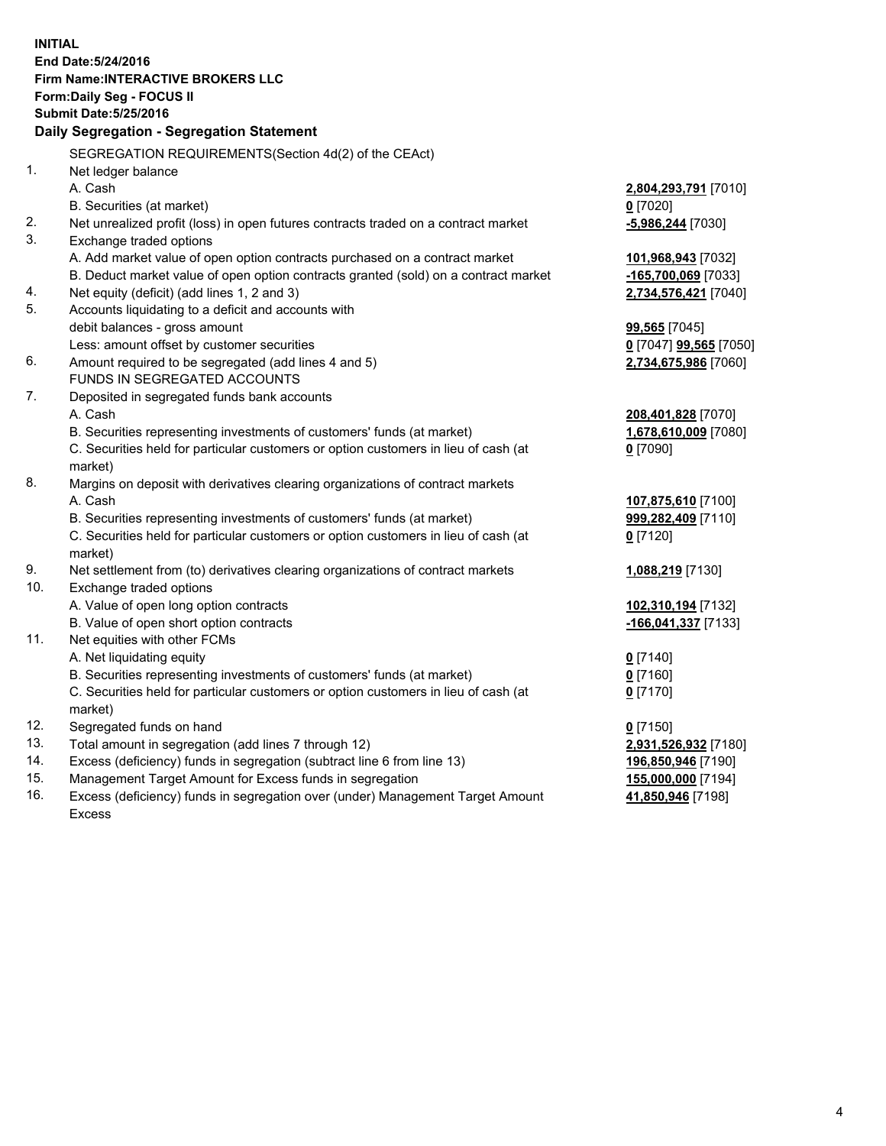**INITIAL End Date:5/24/2016 Firm Name:INTERACTIVE BROKERS LLC Form:Daily Seg - FOCUS II Submit Date:5/25/2016 Daily Segregation - Segregation Statement** SEGREGATION REQUIREMENTS(Section 4d(2) of the CEAct) 1. Net ledger balance A. Cash **2,804,293,791** [7010] B. Securities (at market) **0** [7020] 2. Net unrealized profit (loss) in open futures contracts traded on a contract market **-5,986,244** [7030] 3. Exchange traded options A. Add market value of open option contracts purchased on a contract market **101,968,943** [7032] B. Deduct market value of open option contracts granted (sold) on a contract market **-165,700,069** [7033] 4. Net equity (deficit) (add lines 1, 2 and 3) **2,734,576,421** [7040] 5. Accounts liquidating to a deficit and accounts with debit balances - gross amount **99,565** [7045] Less: amount offset by customer securities **0** [7047] **99,565** [7050] 6. Amount required to be segregated (add lines 4 and 5) **2,734,675,986** [7060] FUNDS IN SEGREGATED ACCOUNTS 7. Deposited in segregated funds bank accounts A. Cash **208,401,828** [7070] B. Securities representing investments of customers' funds (at market) **1,678,610,009** [7080] C. Securities held for particular customers or option customers in lieu of cash (at market) **0** [7090] 8. Margins on deposit with derivatives clearing organizations of contract markets A. Cash **107,875,610** [7100] B. Securities representing investments of customers' funds (at market) **999,282,409** [7110] C. Securities held for particular customers or option customers in lieu of cash (at market) **0** [7120] 9. Net settlement from (to) derivatives clearing organizations of contract markets **1,088,219** [7130] 10. Exchange traded options A. Value of open long option contracts **102,310,194** [7132] B. Value of open short option contracts **-166,041,337** [7133] 11. Net equities with other FCMs A. Net liquidating equity **0** [7140] B. Securities representing investments of customers' funds (at market) **0** [7160] C. Securities held for particular customers or option customers in lieu of cash (at market) **0** [7170] 12. Segregated funds on hand **0** [7150] 13. Total amount in segregation (add lines 7 through 12) **2,931,526,932** [7180] 14. Excess (deficiency) funds in segregation (subtract line 6 from line 13) **196,850,946** [7190] 15. Management Target Amount for Excess funds in segregation **155,000,000** [7194] 16. Excess (deficiency) funds in segregation over (under) Management Target Amount **41,850,946** [7198]

Excess